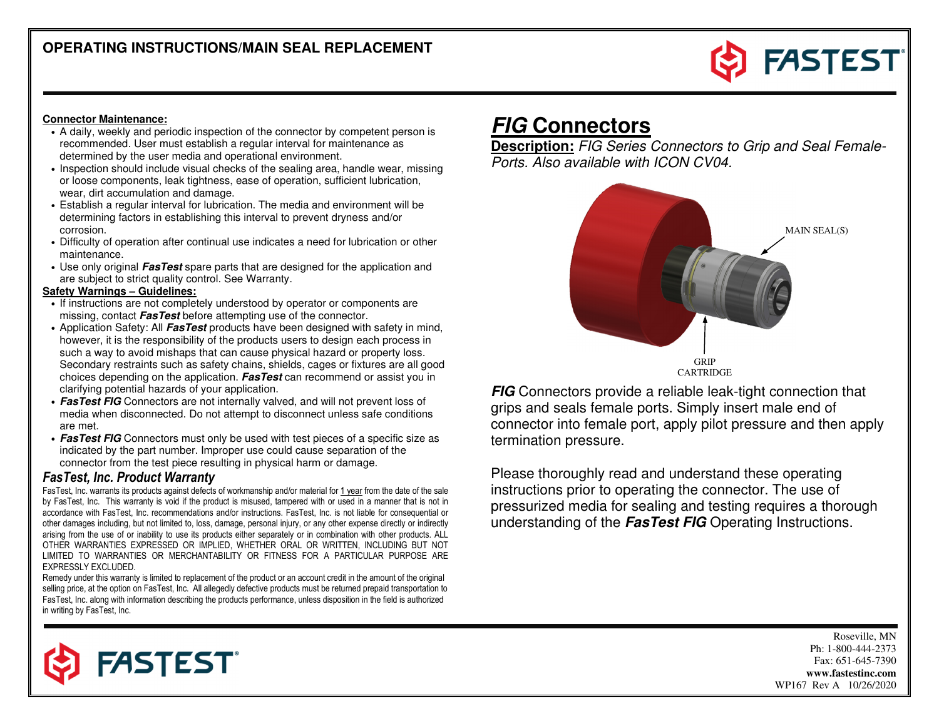

#### **Connector Maintenance:**

- A daily, weekly and periodic inspection of the connector by competent person is recommended. User must establish a regular interval for maintenance as determined by the user media and operational environment.
- Inspection should include visual checks of the sealing area, handle wear, missing or loose components, leak tightness, ease of operation, sufficient lubrication, wear, dirt accumulation and damage.
- Establish a regular interval for lubrication. The media and environment will be determining factors in establishing this interval to prevent dryness and/or corrosion.
- Difficulty of operation after continual use indicates a need for lubrication or other maintenance.
- Use only original **FasTest** spare parts that are designed for the application and are subject to strict quality control. See Warranty.

#### **Safety Warnings – Guidelines:**

- If instructions are not completely understood by operator or components are missing, contact **FasTest** before attempting use of the connector.
- Application Safety: All **FasTest** products have been designed with safety in mind, however, it is the responsibility of the products users to design each process in such a way to avoid mishaps that can cause physical hazard or property loss. Secondary restraints such as safety chains, shields, cages or fixtures are all good choices depending on the application. **FasTest** can recommend or assist you in clarifying potential hazards of your application.
- **FasTest FIG** Connectors are not internally valved, and will not prevent loss of media when disconnected. Do not attempt to disconnect unless safe conditions are met.
- **FasTest FIG** Connectors must only be used with test pieces of a specific size as indicated by the part number. Improper use could cause separation of the connector from the test piece resulting in physical harm or damage.

#### FasTest, Inc. Product Warranty

**FASTEST** 

FasTest, Inc. warrants its products against defects of workmanship and/or material for <u>1 year</u> from the date of the sale by FasTest, Inc. This warranty is void if the product is misused, tampered with or used in a manner that is not in accordance with FasTest, Inc. recommendations and/or instructions. FasTest, Inc. is not liable for consequential or other damages including, but not limited to, loss, damage, personal injury, or any other expense directly or indirectly arising from the use of or inability to use its products either separately or in combination with other products. ALL OTHER WARRANTIES EXPRESSED OR IMPLIED, WHETHER ORAL OR WRITTEN, INCLUDING BUT NOT LIMITED TO WARRANTIES OR MERCHANTABILITY OR FITNESS FOR A PARTICULAR PURPOSE ARE EXPRESSLY EXCLUDED.

 Remedy under this warranty is limited to replacement of the product or an account credit in the amount of the original selling price, at the option on FasTest, Inc. All allegedly defective products must be returned prepaid transportation to FasTest, Inc. along with information describing the products performance, unless disposition in the field is authorized in writing by FasTest, Inc.

# **FIG Connectors**

 **Description:** FIG Series Connectors to Grip and Seal Female-Ports. Also available with ICON CV04.



**FIG** Connectors provide a reliable leak-tight connection that  $\overline{\mathbf{r}}$ grips and seals female ports. Simply insert male end of connector into female port, apply pilot pressure and then apply termination pressure.

Please thoroughly read and understand these operating instructions prior to operating the connector. The use of pressurized media for sealing and testing requires a thorough understanding of the **FasTest FIG** Operating Instructions.

> Roseville, MN Ph: 1-800-444-2373 Fax: 651-645-7390 **www.fastestinc.com** WP167 Rev A 10/26/2020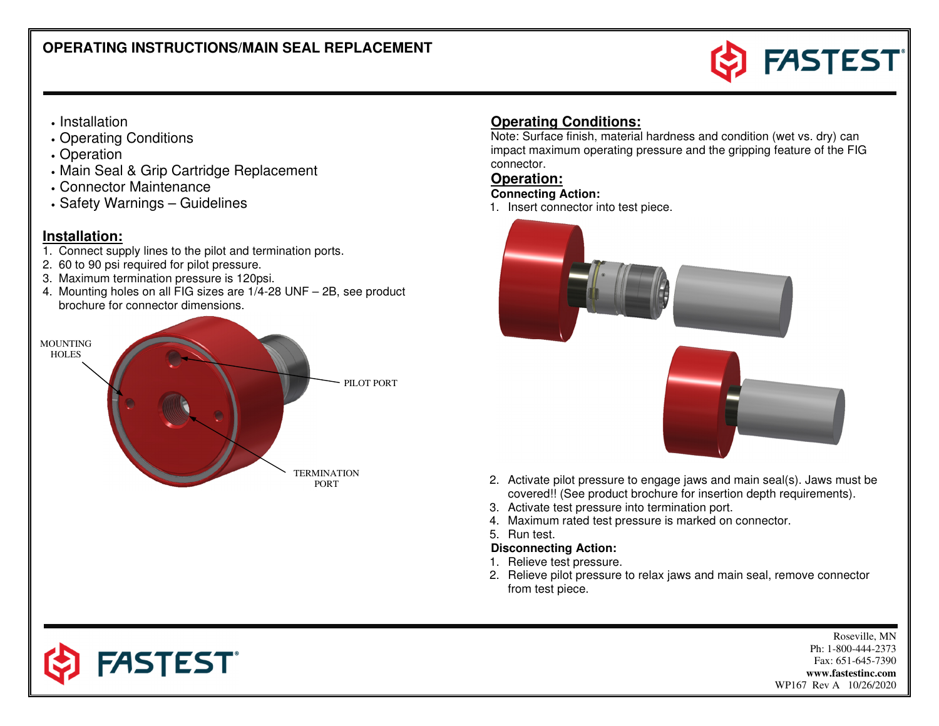

# • Installation

- Operating Conditions
- Operation
- Main Seal & Grip Cartridge Replacement
- Connector Maintenance
- Safety Warnings Guidelines

## **Installation:**

- 1. Connect supply lines to the pilot and termination ports.
- 2. 60 to 90 psi required for pilot pressure.
- 3. Maximum termination pressure is 120psi.

**FASTEST**®

 4. Mounting holes on all FIG sizes are 1/4-28 UNF – 2B, see product brochure for connector dimensions.



# **Operating Conditions:**

 Note: Surface finish, material hardness and condition (wet vs. dry) can impact maximum operating pressure and the gripping feature of the FIG connector.

## **Operation:**

### **Connecting Action:**

1. Insert connector into test piece.





- 2. Activate pilot pressure to engage jaws and main seal(s). Jaws must be covered!! (See product brochure for insertion depth requirements).
- 3. Activate test pressure into termination port.
- 4. Maximum rated test pressure is marked on connector.
- 5. Run test.

#### **Disconnecting Action:**

- 1. Relieve test pressure.
- 2. Relieve pilot pressure to relax jaws and main seal, remove connector from test piece.

Roseville, MN Ph: 1-800-444-2373 Fax: 651-645-7390 **www.fastestinc.com** WP167 Rev A 10/26/2020